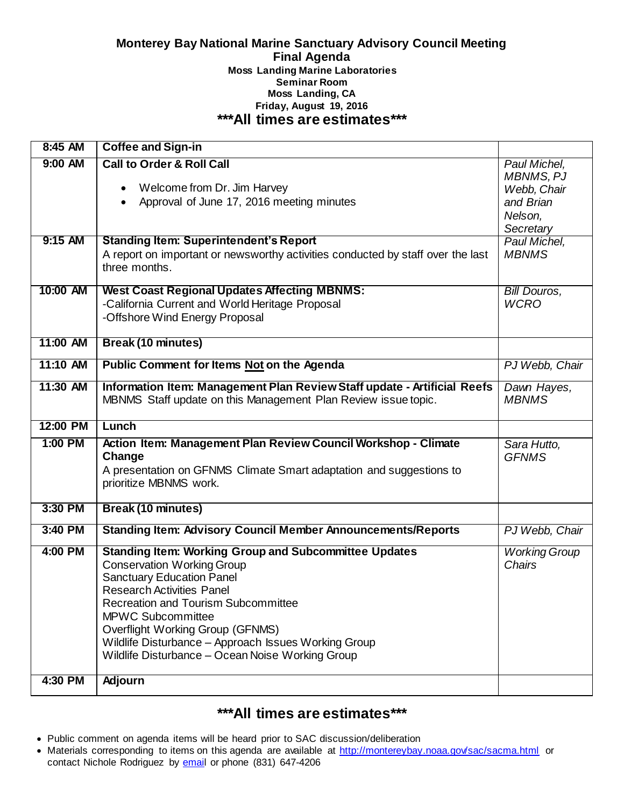#### **Monterey Bay National Marine Sanctuary Advisory Council Meeting Final Agenda Moss Landing Marine Laboratories Seminar Room Moss Landing, CA Friday, August 19, 2016 \*\*\*All times are estimates\*\*\***

| 8:45 AM            | <b>Coffee and Sign-in</b>                                                                                                                                                                                                                                                                                                                                                                                      |                                                              |
|--------------------|----------------------------------------------------------------------------------------------------------------------------------------------------------------------------------------------------------------------------------------------------------------------------------------------------------------------------------------------------------------------------------------------------------------|--------------------------------------------------------------|
| 9:00 AM            | <b>Call to Order &amp; Roll Call</b><br>Welcome from Dr. Jim Harvey<br>$\bullet$<br>Approval of June 17, 2016 meeting minutes<br>$\bullet$                                                                                                                                                                                                                                                                     | Paul Michel,<br><b>MBNMS, PJ</b><br>Webb, Chair<br>and Brian |
|                    |                                                                                                                                                                                                                                                                                                                                                                                                                | Nelson,<br>Secretary                                         |
| 9:15 AM            | <b>Standing Item: Superintendent's Report</b><br>A report on important or newsworthy activities conducted by staff over the last<br>three months.                                                                                                                                                                                                                                                              | Paul Michel,<br><b>MBNMS</b>                                 |
| 10:00 AM           | <b>West Coast Regional Updates Affecting MBNMS:</b><br>-California Current and World Heritage Proposal<br>-Offshore Wind Energy Proposal                                                                                                                                                                                                                                                                       | Bill Douros,<br><b>WCRO</b>                                  |
| 11:00 AM           | <b>Break (10 minutes)</b>                                                                                                                                                                                                                                                                                                                                                                                      |                                                              |
| 11:10 AM           | <b>Public Comment for Items Not on the Agenda</b>                                                                                                                                                                                                                                                                                                                                                              | PJ Webb, Chair                                               |
| 11:30 AM           | Information Item: Management Plan Review Staff update - Artificial Reefs<br>MBNMS Staff update on this Management Plan Review issue topic.                                                                                                                                                                                                                                                                     | Dawn Hayes,<br><b>MBNMS</b>                                  |
|                    |                                                                                                                                                                                                                                                                                                                                                                                                                |                                                              |
| 12:00 PM           | Lunch                                                                                                                                                                                                                                                                                                                                                                                                          |                                                              |
| 1:00 PM            | Action Item: Management Plan Review Council Workshop - Climate<br>Change<br>A presentation on GFNMS Climate Smart adaptation and suggestions to<br>prioritize MBNMS work.                                                                                                                                                                                                                                      | Sara Hutto,<br><b>GFNMS</b>                                  |
| 3:30 PM            | <b>Break (10 minutes)</b>                                                                                                                                                                                                                                                                                                                                                                                      |                                                              |
| 3:40 PM            | <b>Standing Item: Advisory Council Member Announcements/Reports</b>                                                                                                                                                                                                                                                                                                                                            | PJ Webb, Chair                                               |
| 4:00 PM<br>4:30 PM | <b>Standing Item: Working Group and Subcommittee Updates</b><br><b>Conservation Working Group</b><br><b>Sanctuary Education Panel</b><br><b>Research Activities Panel</b><br><b>Recreation and Tourism Subcommittee</b><br><b>MPWC Subcommittee</b><br>Overflight Working Group (GFNMS)<br>Wildlife Disturbance - Approach Issues Working Group<br>Wildlife Disturbance - Ocean Noise Working Group<br>Adjourn | <b>Working Group</b><br>Chairs                               |

# **\*\*\*All times are estimates\*\*\***

- Public comment on agenda items will be heard prior to SAC discussion/deliberation
- Materials corresponding to items on this agenda are available at<http://montereybay.noaa.gov/sac/sacma.html> or contact Nichole Rodriguez by [email](mailto:nichole.rodriguez@noaa.gov) or phone (831) 647-4206